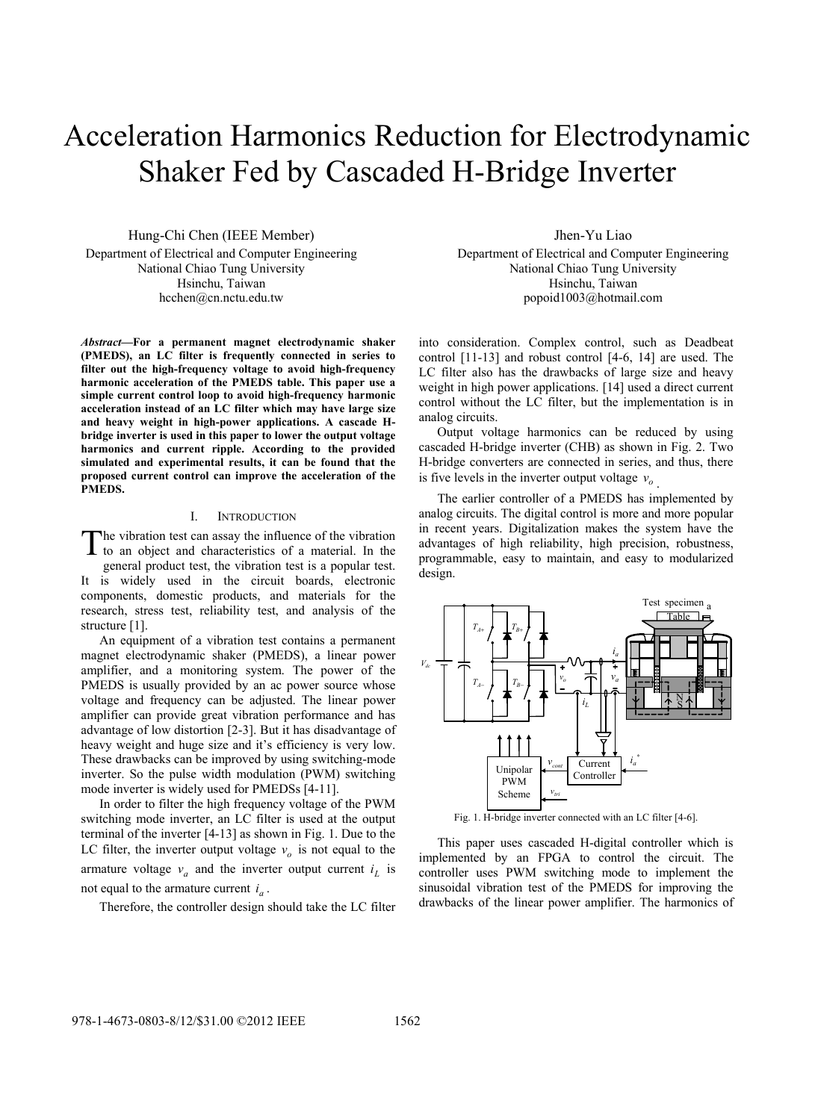# Acceleration Harmonics Reduction for Electrodynamic Shaker Fed by Cascaded H-Bridge Inverter

Hung-Chi Chen (IEEE Member) Department of Electrical and Computer Engineering National Chiao Tung University Hsinchu, Taiwan hcchen@cn.nctu.edu.tw

*Abstract***—For a permanent magnet electrodynamic shaker (PMEDS), an LC filter is frequently connected in series to filter out the high-frequency voltage to avoid high-frequency harmonic acceleration of the PMEDS table. This paper use a simple current control loop to avoid high-frequency harmonic acceleration instead of an LC filter which may have large size and heavy weight in high-power applications. A cascade Hbridge inverter is used in this paper to lower the output voltage harmonics and current ripple. According to the provided simulated and experimental results, it can be found that the proposed current control can improve the acceleration of the PMEDS.** 

### I. INTRODUCTION

he vibration test can assay the influence of the vibration The vibration test can assay the influence of the vibration<br>to an object and characteristics of a material. In the general product test, the vibration test is a popular test. It is widely used in the circuit boards, electronic components, domestic products, and materials for the research, stress test, reliability test, and analysis of the structure [1].

An equipment of a vibration test contains a permanent magnet electrodynamic shaker (PMEDS), a linear power amplifier, and a monitoring system. The power of the PMEDS is usually provided by an ac power source whose voltage and frequency can be adjusted. The linear power amplifier can provide great vibration performance and has advantage of low distortion [2-3]. But it has disadvantage of heavy weight and huge size and it's efficiency is very low. These drawbacks can be improved by using switching-mode inverter. So the pulse width modulation (PWM) switching mode inverter is widely used for PMEDSs [4-11].

In order to filter the high frequency voltage of the PWM switching mode inverter, an LC filter is used at the output terminal of the inverter [4-13] as shown in Fig. 1. Due to the LC filter, the inverter output voltage  $v<sub>o</sub>$  is not equal to the armature voltage  $v_a$  and the inverter output current  $i_l$  is not equal to the armature current  $i_a$ .

Therefore, the controller design should take the LC filter

Jhen-Yu Liao

Department of Electrical and Computer Engineering National Chiao Tung University Hsinchu, Taiwan popoid1003@hotmail.com

into consideration. Complex control, such as Deadbeat control [11-13] and robust control [4-6, 14] are used. The LC filter also has the drawbacks of large size and heavy weight in high power applications. [14] used a direct current control without the LC filter, but the implementation is in analog circuits.

Output voltage harmonics can be reduced by using cascaded H-bridge inverter (CHB) as shown in Fig. 2. Two H-bridge converters are connected in series, and thus, there is five levels in the inverter output voltage  $v<sub>o</sub>$ 

The earlier controller of a PMEDS has implemented by analog circuits. The digital control is more and more popular in recent years. Digitalization makes the system have the advantages of high reliability, high precision, robustness, programmable, easy to maintain, and easy to modularized design.



Fig. 1. H-bridge inverter connected with an LC filter [4-6].

This paper uses cascaded H-digital controller which is implemented by an FPGA to control the circuit. The controller uses PWM switching mode to implement the sinusoidal vibration test of the PMEDS for improving the drawbacks of the linear power amplifier. The harmonics of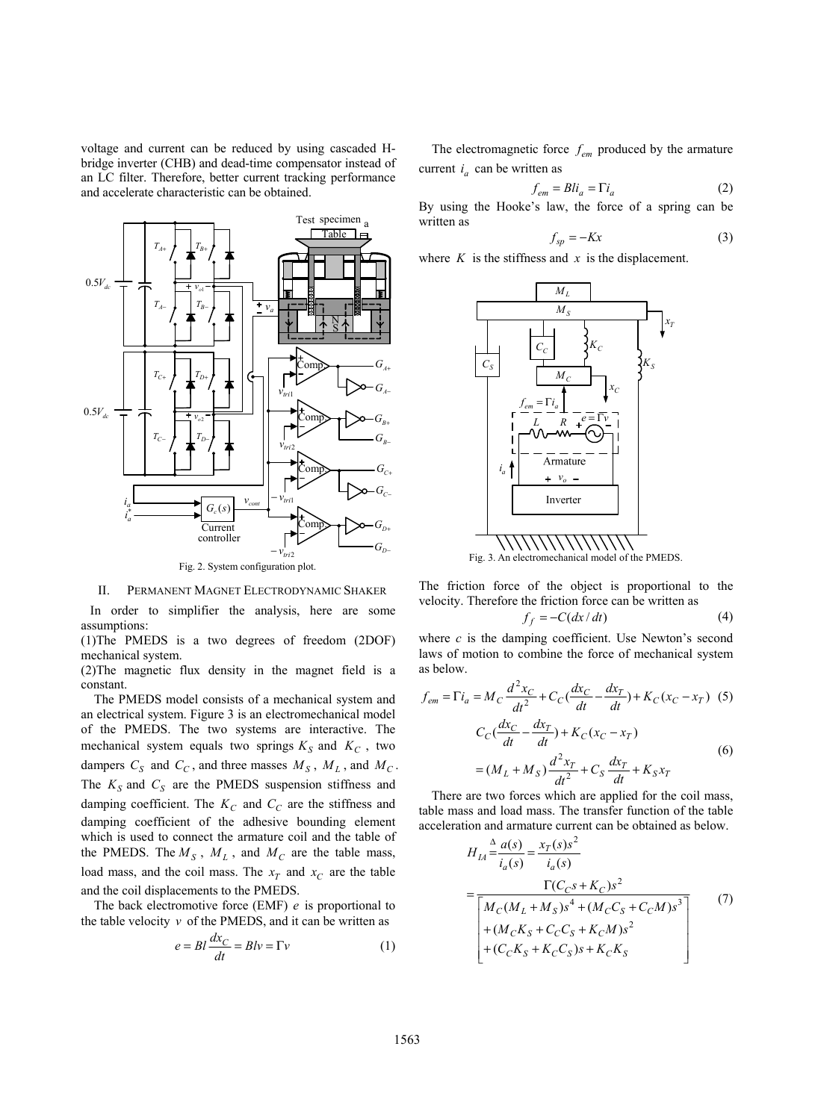voltage and current can be reduced by using cascaded Hbridge inverter (CHB) and dead-time compensator instead of an LC filter. Therefore, better current tracking performance and accelerate characteristic can be obtained.



II. PERMANENT MAGNET ELECTRODYNAMIC SHAKER In order to simplifier the analysis, here are some

assumptions: (1)The PMEDS is a two degrees of freedom (2DOF) mechanical system.

(2)The magnetic flux density in the magnet field is a constant.

The PMEDS model consists of a mechanical system and an electrical system. Figure 3 is an electromechanical model of the PMEDS. The two systems are interactive. The mechanical system equals two springs  $K_S$  and  $K_C$ , two dampers  $C_S$  and  $C_C$ , and three masses  $M_S$ ,  $M_L$ , and  $M_C$ . The  $K_S$  and  $C_S$  are the PMEDS suspension stiffness and damping coefficient. The  $K_C$  and  $C_C$  are the stiffness and damping coefficient of the adhesive bounding element which is used to connect the armature coil and the table of the PMEDS. The  $M_S$ ,  $M_L$ , and  $M_C$  are the table mass, load mass, and the coil mass. The  $x_T$  and  $x_C$  are the table and the coil displacements to the PMEDS.

The back electromotive force (EMF) *e* is proportional to the table velocity  $\nu$  of the PMEDS, and it can be written as

$$
e = Bl \frac{dx_C}{dt} = Blv = \Gamma v \tag{1}
$$

The electromagnetic force  $f_{em}$  produced by the armature current  $i_a$  can be written as

$$
f_{em} = Bli_a = \Gamma i_a \tag{2}
$$

By using the Hooke's law, the force of a spring can be written as

$$
f_{sp} = -Kx \tag{3}
$$

where  $K$  is the stiffness and  $x$  is the displacement.



Fig. 3. An electromechanical model of the PMEDS.

The friction force of the object is proportional to the velocity. Therefore the friction force can be written as

$$
f_f = -C(dx/dt)
$$
 (4)

where  $c$  is the damping coefficient. Use Newton's second laws of motion to combine the force of mechanical system as below.

$$
f_{em} = \Gamma i_a = M_C \frac{d^2 x_C}{dt^2} + C_C (\frac{dx_C}{dt} - \frac{dx_T}{dt}) + K_C (x_C - x_T) \tag{5}
$$
  

$$
C_C (\frac{dx_C}{dt} - \frac{dx_T}{dt}) + K_C (x_C - x_T)
$$
  

$$
= (M_L + M_S) \frac{d^2 x_T}{dt^2} + C_S \frac{dx_T}{dt} + K_S x_T \tag{6}
$$

There are two forces which are applied for the coil mass, table mass and load mass. The transfer function of the table acceleration and armature current can be obtained as below.

$$
H_{IA} \stackrel{\Delta}{=} \frac{a(s)}{i_a(s)} = \frac{x_T(s)s^2}{i_a(s)}
$$
  
= 
$$
\frac{\Gamma(C_{C} s + K_{C})s^2}{\left[ M_C(M_L + M_S)s^4 + (M_C C_S + C_C M)s^3 \right]}
$$
  
+ 
$$
(M_C K_S + C_C C_S + K_C M)s^2
$$
  
+ 
$$
(C_C K_S + K_C C_S)s + K_C K_S
$$
 (7)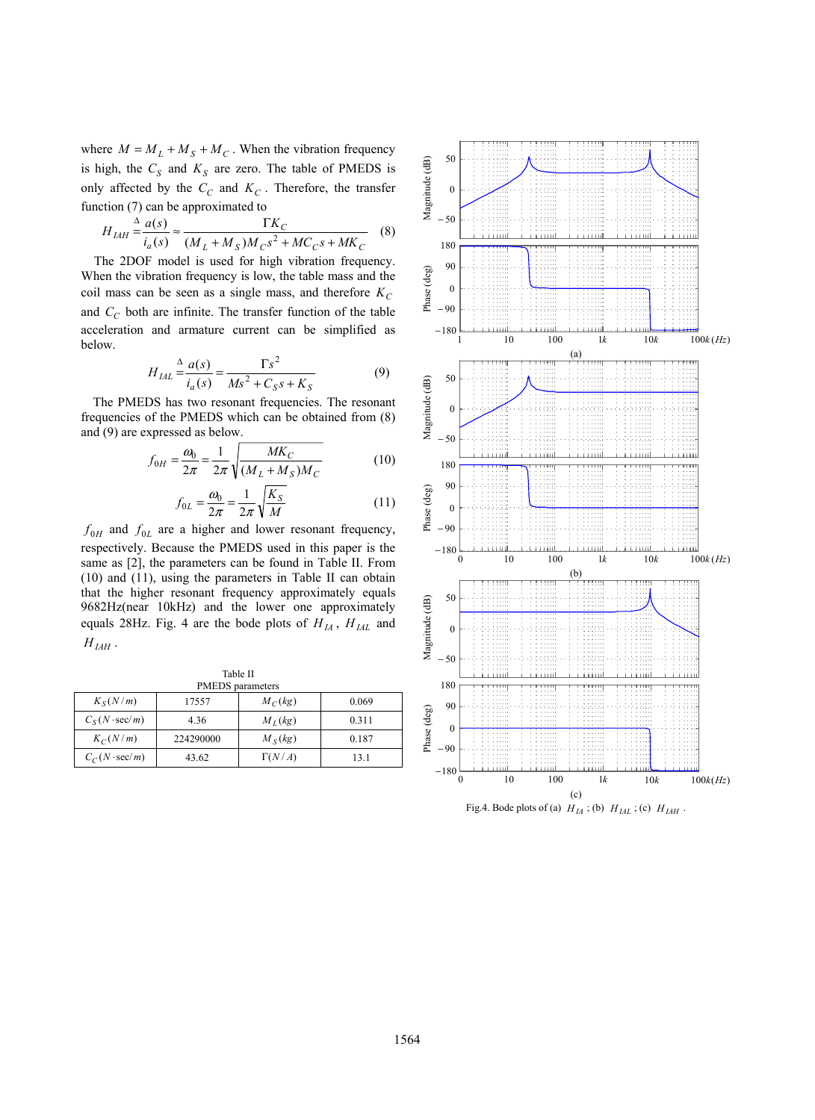where  $M = M_L + M_S + M_C$ . When the vibration frequency is high, the  $C_S$  and  $K_S$  are zero. The table of PMEDS is only affected by the  $C_C$  and  $K_C$ . Therefore, the transfer function (7) can be approximated to

$$
H_{IAH} \stackrel{\Delta}{=} \frac{a(s)}{i_a(s)} \approx \frac{\Gamma K_C}{(M_L + M_S)M_C s^2 + MC_C s + MK_C} \quad (8)
$$

The 2DOF model is used for high vibration frequency. When the vibration frequency is low, the table mass and the coil mass can be seen as a single mass, and therefore  $K_C$ and  $C_C$  both are infinite. The transfer function of the table acceleration and armature current can be simplified as below.

$$
H_{LIL} \stackrel{\Delta}{=} \frac{a(s)}{i_a(s)} = \frac{\Gamma s^2}{Ms^2 + C_S s + K_S}
$$
(9)

The PMEDS has two resonant frequencies. The resonant frequencies of the PMEDS which can be obtained from (8) and (9) are expressed as below.

$$
f_{0H} = \frac{\omega_0}{2\pi} = \frac{1}{2\pi} \sqrt{\frac{MK_C}{(M_L + M_S)M_C}}
$$
(10)

$$
f_{0L} = \frac{\omega_0}{2\pi} = \frac{1}{2\pi} \sqrt{\frac{K_S}{M}}
$$
(11)

 $f_{0H}$  and  $f_{0L}$  are a higher and lower resonant frequency, respectively. Because the PMEDS used in this paper is the same as [2], the parameters can be found in Table II. From (10) and (11), using the parameters in Table II can obtain that the higher resonant frequency approximately equals 9682Hz(near 10kHz) and the lower one approximately equals 28Hz. Fig. 4 are the bode plots of  $H_{IA}$ ,  $H_{IAL}$  and  $H_{IAH}$ .

Table II **PMEDS** *r* 

| T MEDO Datamento      |           |               |       |
|-----------------------|-----------|---------------|-------|
| $K_S(N/m)$            | 17557     | $M_C(kg)$     | 0.069 |
| $C_S(N \cdot \sec/m)$ | 4.36      | $M_I(kg)$     | 0.311 |
| $K_C(N/m)$            | 224290000 | $M_S(kg)$     | 0.187 |
| $C_C(N \cdot \sec/m)$ | 43.62     | $\Gamma(N/A)$ | 13.1  |



Fig.4. Bode plots of (a)  $H_{IA}$ ; (b)  $H_{IAL}$ ; (c)  $H_{IAH}$ .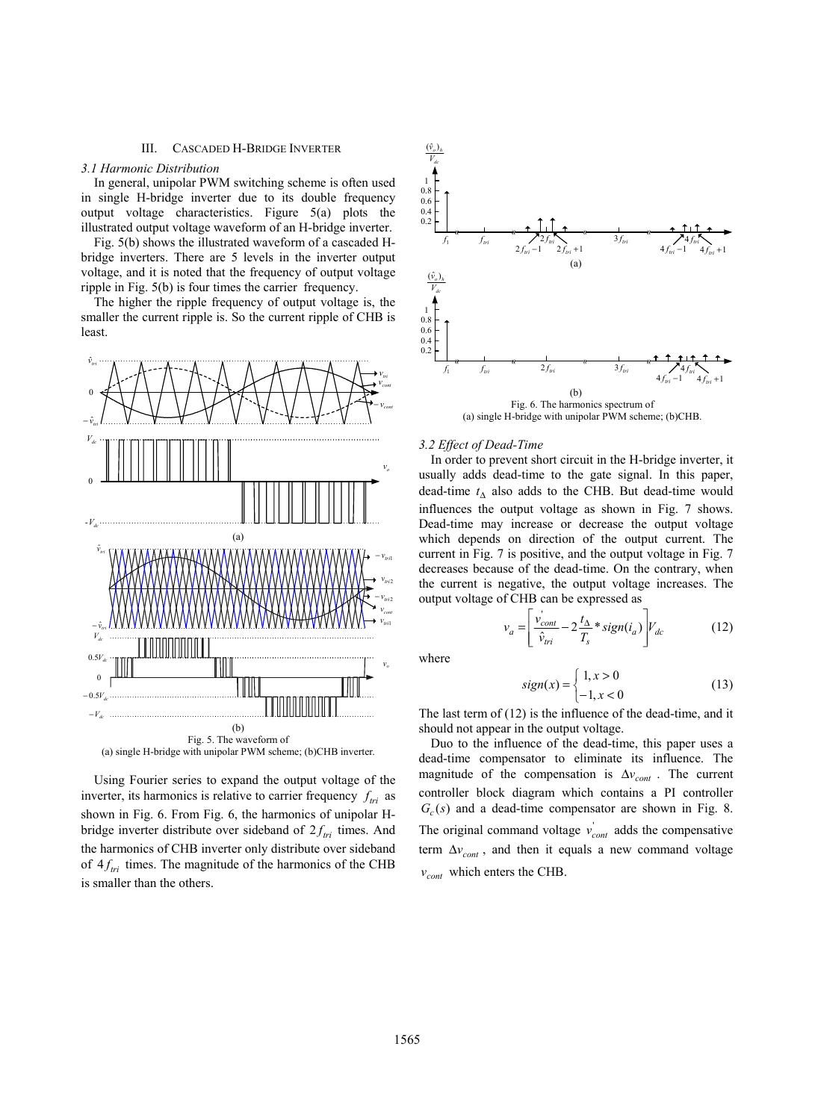# III. CASCADED H-BRIDGE INVERTER

#### *3.1 Harmonic Distribution*

In general, unipolar PWM switching scheme is often used in single H-bridge inverter due to its double frequency output voltage characteristics. Figure 5(a) plots the illustrated output voltage waveform of an H-bridge inverter.

Fig. 5(b) shows the illustrated waveform of a cascaded Hbridge inverters. There are 5 levels in the inverter output voltage, and it is noted that the frequency of output voltage ripple in Fig. 5(b) is four times the carrier frequency.

The higher the ripple frequency of output voltage is, the smaller the current ripple is. So the current ripple of CHB is least.



Using Fourier series to expand the output voltage of the inverter, its harmonics is relative to carrier frequency  $f_{tri}$  as shown in Fig. 6. From Fig. 6, the harmonics of unipolar Hbridge inverter distribute over sideband of  $2f_{tri}$  times. And the harmonics of CHB inverter only distribute over sideband of  $4f_{tri}$  times. The magnitude of the harmonics of the CHB is smaller than the others.



(a) single H-bridge with unipolar PWM scheme; (b)CHB.

#### *3.2 Effect of Dead-Time*

In order to prevent short circuit in the H-bridge inverter, it usually adds dead-time to the gate signal. In this paper, dead-time  $t_A$  also adds to the CHB. But dead-time would influences the output voltage as shown in Fig. 7 shows. Dead-time may increase or decrease the output voltage which depends on direction of the output current. The current in Fig. 7 is positive, and the output voltage in Fig. 7 decreases because of the dead-time. On the contrary, when the current is negative, the output voltage increases. The output voltage of CHB can be expressed as

$$
v_a = \left[ \frac{v_{cont}^{\prime}}{\hat{v}_{tri}} - 2 \frac{t_{\Delta}}{T_s} * sign(i_a) \right] V_{dc}
$$
 (12)

where

$$
sign(x) = \begin{cases} 1, x > 0 \\ -1, x < 0 \end{cases}
$$
 (13)

The last term of  $(12)$  is the influence of the dead-time, and it should not appear in the output voltage.

Duo to the influence of the dead-time, this paper uses a dead-time compensator to eliminate its influence. The magnitude of the compensation is  $\Delta v_{cont}$ . The current controller block diagram which contains a PI controller  $G_c(s)$  and a dead-time compensator are shown in Fig. 8. The original command voltage  $v_{cont}$  adds the compensative term  $\Delta v_{cont}$ , and then it equals a new command voltage  $v_{cont}$  which enters the CHB.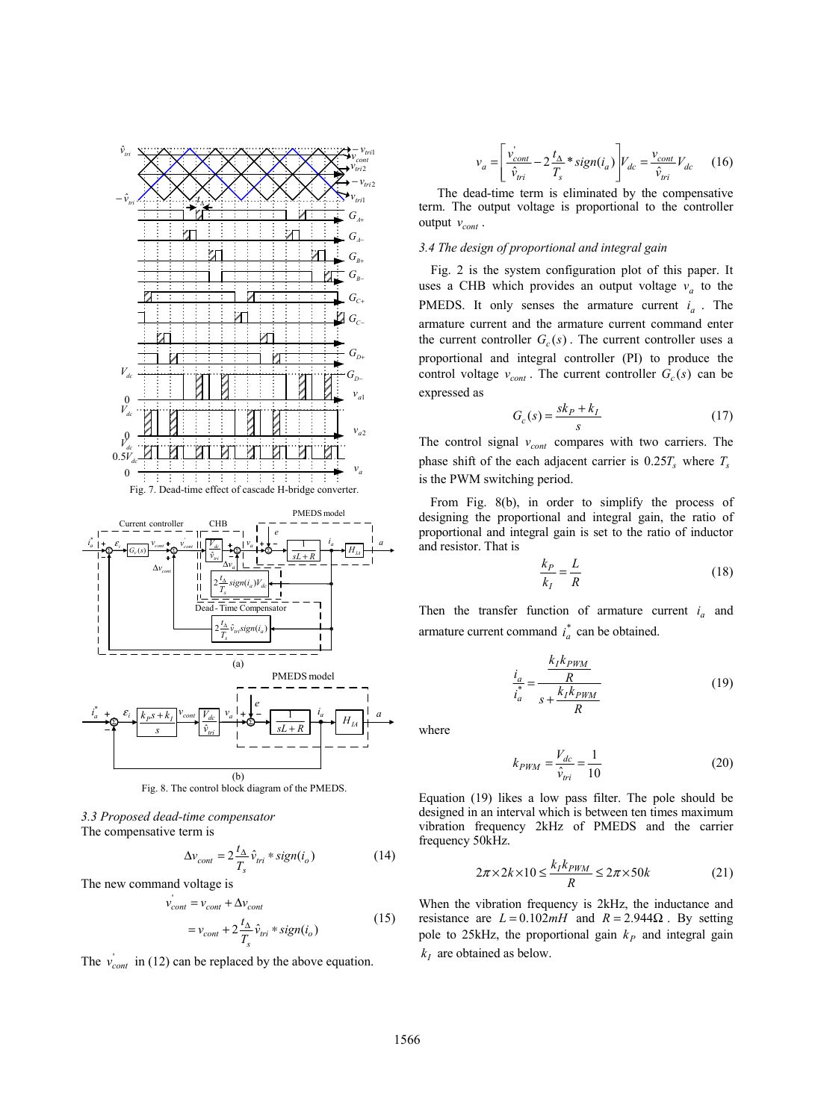



*3.3 Proposed dead-time compensator*  The compensative term is

$$
\Delta v_{cont} = 2 \frac{t_{\Delta}}{T_s} \hat{v}_{tri} * sign(i_o)
$$
 (14)

The new command voltage is

$$
v'_{cont} = v_{cont} + \Delta v_{cont}
$$
  
= v\_{cont} + 2\frac{t\_{\Delta}}{T\_s} \hat{v}\_{tri} \* sign(i\_o) (15)

The  $v_{cont}$  in (12) can be replaced by the above equation.

$$
v_a = \left[\frac{v'_{cont}}{\hat{v}_{tri}} - 2\frac{t_{\Delta}}{T_s} * sign(i_a)\right]V_{dc} = \frac{v_{cont}}{\hat{v}_{tri}}V_{dc}
$$
 (16)

The dead-time term is eliminated by the compensative term. The output voltage is proportional to the controller output  $v_{cont}$ .

# *3.4 The design of proportional and integral gain*

Fig. 2 is the system configuration plot of this paper. It uses a CHB which provides an output voltage  $v_a$  to the PMEDS. It only senses the armature current  $i_a$ . The armature current and the armature current command enter the current controller  $G_c(s)$ . The current controller uses a proportional and integral controller (PI) to produce the control voltage  $v_{cont}$ . The current controller  $G_c(s)$  can be expressed as

$$
G_c(s) = \frac{sk_P + k_I}{s} \tag{17}
$$

The control signal  $v_{cont}$  compares with two carriers. The phase shift of the each adjacent carrier is  $0.25T_s$  where  $T_s$ is the PWM switching period.

From Fig. 8(b), in order to simplify the process of designing the proportional and integral gain, the ratio of proportional and integral gain is set to the ratio of inductor and resistor. That is

$$
\frac{k_P}{k_I} = \frac{L}{R} \tag{18}
$$

Then the transfer function of armature current  $i_a$  and armature current command  $i_a^*$  can be obtained.

$$
\frac{i_a}{i_a^*} = \frac{\frac{k_I k_{PWM}}{R}}{\frac{k_I k_{PWM}}{R}}
$$
(19)

where

$$
k_{PWM} = \frac{V_{dc}}{\hat{v}_{tri}} = \frac{1}{10}
$$
 (20)

Equation (19) likes a low pass filter. The pole should be designed in an interval which is between ten times maximum vibration frequency 2kHz of PMEDS and the carrier frequency 50kHz.

$$
2\pi \times 2k \times 10 \le \frac{k_I k_{PWM}}{R} \le 2\pi \times 50k
$$
 (21)

When the vibration frequency is 2kHz, the inductance and resistance are  $L = 0.102mH$  and  $R = 2.944\Omega$ . By setting pole to 25kHz, the proportional gain  $k<sub>P</sub>$  and integral gain  $k<sub>I</sub>$  are obtained as below.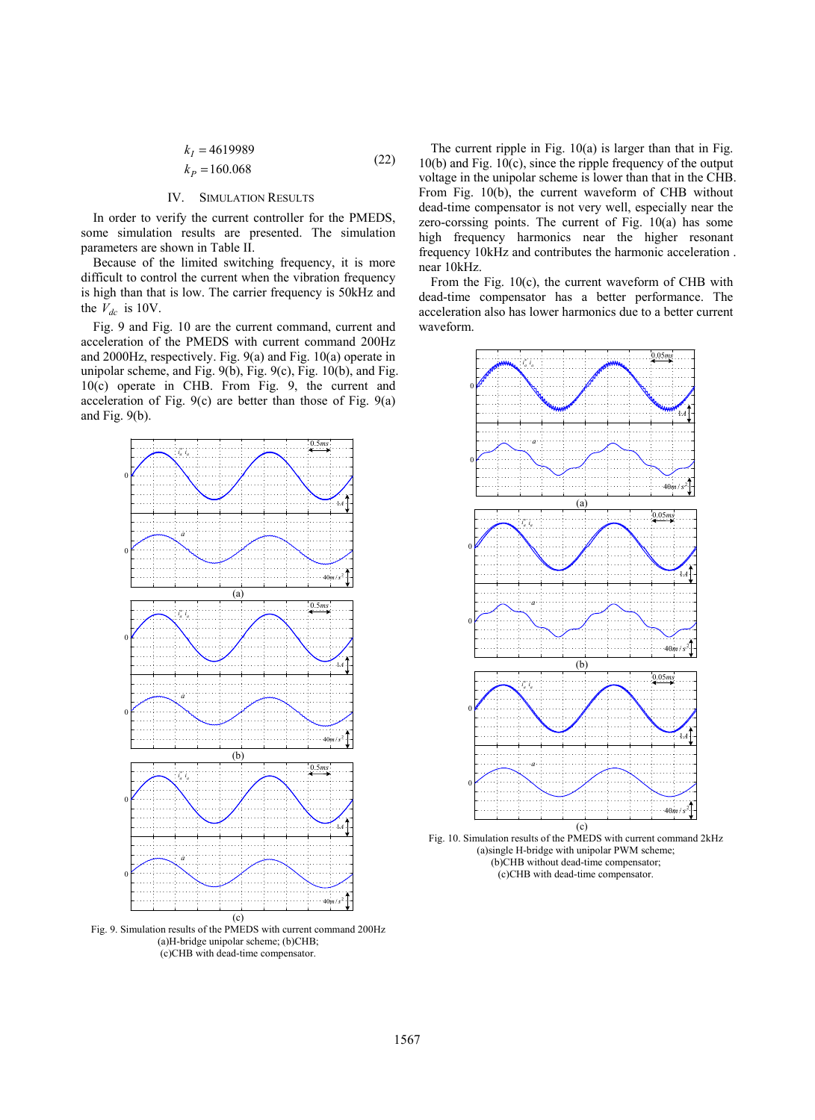$$
k_I = 4619989
$$
  
\n
$$
k_P = 160.068
$$
\n(22)

# IV. SIMULATION RESULTS

In order to verify the current controller for the PMEDS, some simulation results are presented. The simulation parameters are shown in Table II.

Because of the limited switching frequency, it is more difficult to control the current when the vibration frequency is high than that is low. The carrier frequency is 50kHz and the  $V_{dc}$  is 10V.

Fig. 9 and Fig. 10 are the current command, current and acceleration of the PMEDS with current command 200Hz and 2000Hz, respectively. Fig. 9(a) and Fig. 10(a) operate in unipolar scheme, and Fig. 9(b), Fig. 9(c), Fig. 10(b), and Fig. 10(c) operate in CHB. From Fig. 9, the current and acceleration of Fig. 9(c) are better than those of Fig. 9(a) and Fig. 9(b).



Fig. 9. Simulation results of the PMEDS with current command 200Hz (a)H-bridge unipolar scheme; (b)CHB; (c)CHB with dead-time compensator.

The current ripple in Fig. 10(a) is larger than that in Fig.  $10(b)$  and Fig.  $10(c)$ , since the ripple frequency of the output voltage in the unipolar scheme is lower than that in the CHB. From Fig. 10(b), the current waveform of CHB without dead-time compensator is not very well, especially near the zero-corssing points. The current of Fig. 10(a) has some high frequency harmonics near the higher resonant frequency 10kHz and contributes the harmonic acceleration . near 10kHz.

From the Fig. 10(c), the current waveform of CHB with dead-time compensator has a better performance. The acceleration also has lower harmonics due to a better current waveform.



Fig. 10. Simulation results of the PMEDS with current command 2kHz (a)single H-bridge with unipolar PWM scheme; (b)CHB without dead-time compensator; (c)CHB with dead-time compensator.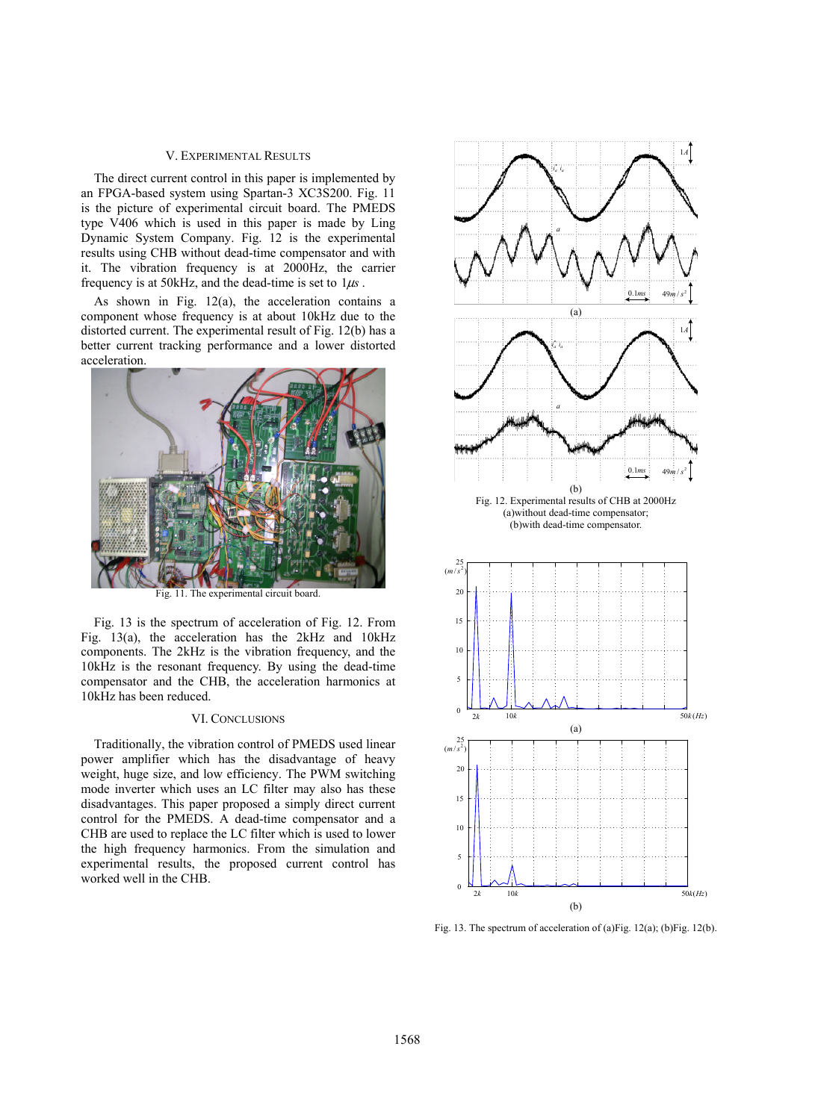## V. EXPERIMENTAL RESULTS

The direct current control in this paper is implemented by an FPGA-based system using Spartan-3 XC3S200. Fig. 11 is the picture of experimental circuit board. The PMEDS type V406 which is used in this paper is made by Ling Dynamic System Company. Fig. 12 is the experimental results using CHB without dead-time compensator and with it. The vibration frequency is at 2000Hz, the carrier frequency is at 50kHz, and the dead-time is set to  $1\mu s$ .

As shown in Fig. 12(a), the acceleration contains a component whose frequency is at about 10kHz due to the distorted current. The experimental result of Fig. 12(b) has a better current tracking performance and a lower distorted acceleration.



Fig. 11. The experimental circuit board.

Fig. 13 is the spectrum of acceleration of Fig. 12. From Fig. 13(a), the acceleration has the 2kHz and 10kHz components. The 2kHz is the vibration frequency, and the 10kHz is the resonant frequency. By using the dead-time compensator and the CHB, the acceleration harmonics at 10kHz has been reduced.

### VI. CONCLUSIONS

Traditionally, the vibration control of PMEDS used linear power amplifier which has the disadvantage of heavy weight, huge size, and low efficiency. The PWM switching mode inverter which uses an LC filter may also has these disadvantages. This paper proposed a simply direct current control for the PMEDS. A dead-time compensator and a CHB are used to replace the LC filter which is used to lower the high frequency harmonics. From the simulation and experimental results, the proposed current control has worked well in the CHB.



Fig. 13. The spectrum of acceleration of (a)Fig. 12(a); (b)Fig. 12(b).